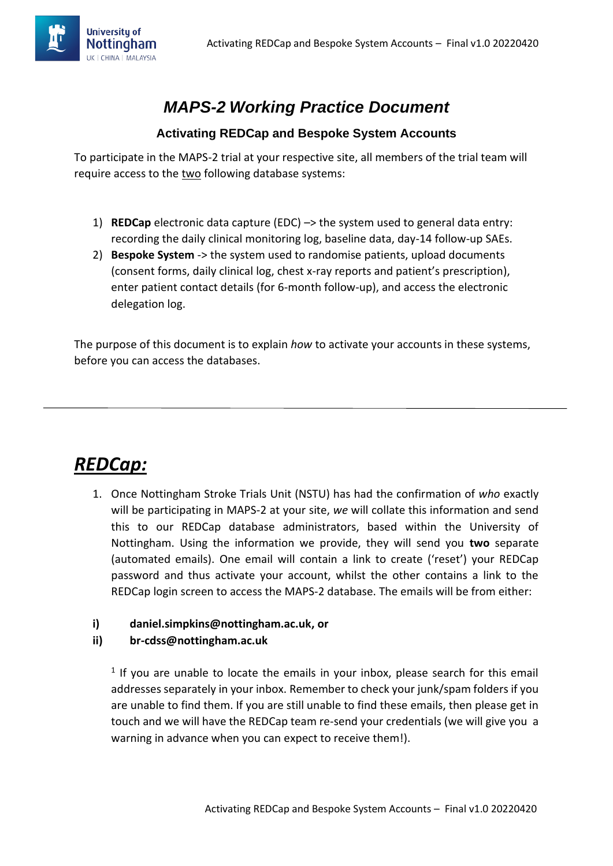

### *MAPS-2 Working Practice Document*

#### **Activating REDCap and Bespoke System Accounts**

To participate in the MAPS-2 trial at your respective site, all members of the trial team will require access to the two following database systems:

- 1) **REDCap** electronic data capture (EDC) –> the system used to general data entry: recording the daily clinical monitoring log, baseline data, day-14 follow-up SAEs.
- 2) **Bespoke System** -> the system used to randomise patients, upload documents (consent forms, daily clinical log, chest x-ray reports and patient's prescription), enter patient contact details (for 6-month follow-up), and access the electronic delegation log.

The purpose of this document is to explain *how* to activate your accounts in these systems, before you can access the databases.

# *REDCap:*

1. Once Nottingham Stroke Trials Unit (NSTU) has had the confirmation of *who* exactly will be participating in MAPS-2 at your site, *we* will collate this information and send this to our REDCap database administrators, based within the University of Nottingham. Using the information we provide, they will send you **two** separate (automated emails). One email will contain a link to create ('reset') your REDCap password and thus activate your account, whilst the other contains a link to the REDCap login screen to access the MAPS-2 database. The emails will be from either:

#### **i) daniel.simpkins@nottingham.ac.uk, or**

#### **ii) br-cdss@nottingham.ac.uk**

 $<sup>1</sup>$  If you are unable to locate the emails in your inbox, please search for this email</sup> addresses separately in your inbox. Remember to check your junk/spam folders if you are unable to find them. If you are still unable to find these emails, then please get in touch and we will have the REDCap team re-send your credentials (we will give you a warning in advance when you can expect to receive them!).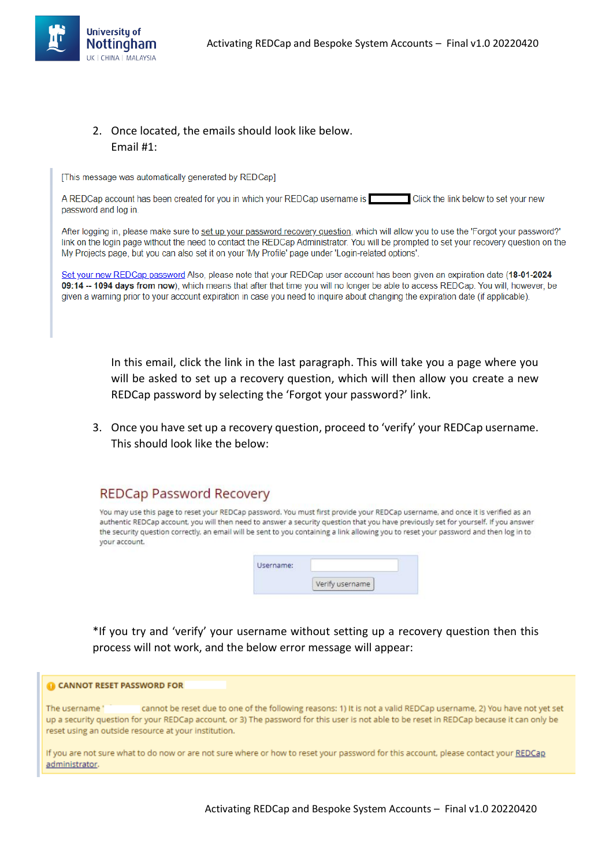

### 2. Once located, the emails should look like below. Email #1:

[This message was automatically generated by REDCap]

A REDCap account has been created for you in which your REDCap username is Click the link below to set your new password and log in.

After logging in, please make sure to set up your password recovery question, which will allow you to use the 'Forgot your password?' link on the login page without the need to contact the REDCap Administrator. You will be prompted to set your recovery question on the My Projects page, but you can also set it on your 'My Profile' page under 'Login-related options'.

Set your new REDCap password Also, please note that your REDCap user account has been given an expiration date (18-01-2024 09:14 -- 1094 days from now), which means that after that time you will no longer be able to access REDCap. You will, however, be given a warning prior to your account expiration in case you need to inquire about changing the expiration date (if applicable).

In this email, click the link in the last paragraph. This will take you a page where you will be asked to set up a recovery question, which will then allow you create a new REDCap password by selecting the 'Forgot your password?' link.

3. Once you have set up a recovery question, proceed to 'verify' your REDCap username. This should look like the below:

### **REDCap Password Recovery**

You may use this page to reset your REDCap password. You must first provide your REDCap username, and once it is verified as an authentic REDCap account, you will then need to answer a security question that you have previously set for yourself. If you answer the security question correctly, an email will be sent to you containing a link allowing you to reset your password and then log in to vour account.

| Username:<br>and the control of the control of the |                |  |
|----------------------------------------------------|----------------|--|
|                                                    | erify username |  |

\*If you try and 'verify' your username without setting up a recovery question then this process will not work, and the below error message will appear:

#### **O CANNOT RESET PASSWORD FOR**

The username cannot be reset due to one of the following reasons: 1) It is not a valid REDCap username, 2) You have not yet set up a security question for your REDCap account, or 3) The password for this user is not able to be reset in REDCap because it can only be reset using an outside resource at your institution.

If you are not sure what to do now or are not sure where or how to reset your password for this account, please contact your REDCap administrator.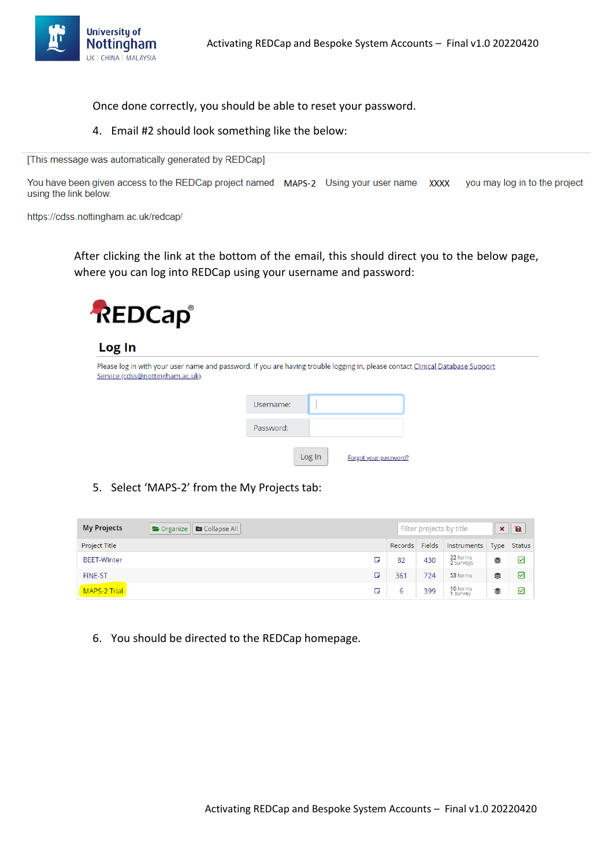

Once done correctly, you should be able to reset your password.

4. Email #2 should look something like the below:

[This message was automatically generated by REDCap]

You have been given access to the REDCap project named MAPS-2 Using your user name XXXX you may log in to the project using the link below.

https://cdss.nottingham.ac.uk/redcap/

After clicking the link at the bottom of the email, this should direct you to the below page, where you can log into REDCap using your username and password:



#### Log In

| Please log in with your user name and password. If you are having trouble logging in, please contact Clinical Database Support<br>Service (cdss@nottingham.ac.uk). |           |        |                       |  |
|--------------------------------------------------------------------------------------------------------------------------------------------------------------------|-----------|--------|-----------------------|--|
|                                                                                                                                                                    | Username: |        |                       |  |
|                                                                                                                                                                    | Password: |        |                       |  |
|                                                                                                                                                                    |           | Log In | Forgot your password? |  |

5. Select 'MAPS-2' from the My Projects tab:

| <b>My Projects</b> | Collapse All<br>$\bullet$ Organize |                |     | Filter projects by title | $\boldsymbol{\mathsf{x}}$ | $\mathbf{B}$ |
|--------------------|------------------------------------|----------------|-----|--------------------------|---------------------------|--------------|
| Project Title      |                                    | Records Fields |     | Instruments              |                           | Type Status  |
| <b>BEET-Winter</b> | п                                  | 82             | 430 | 22 forms<br>2 surveys    | €                         | ☑            |
| <b>FINE-ST</b>     | ο                                  | 361            | 724 | 53 forms                 | ≋                         | ☑            |
| MAPS-2 Trial       | ο                                  | 6              | 399 | 10 forms<br>1 survey     | €                         | ☑            |

6. You should be directed to the REDCap homepage.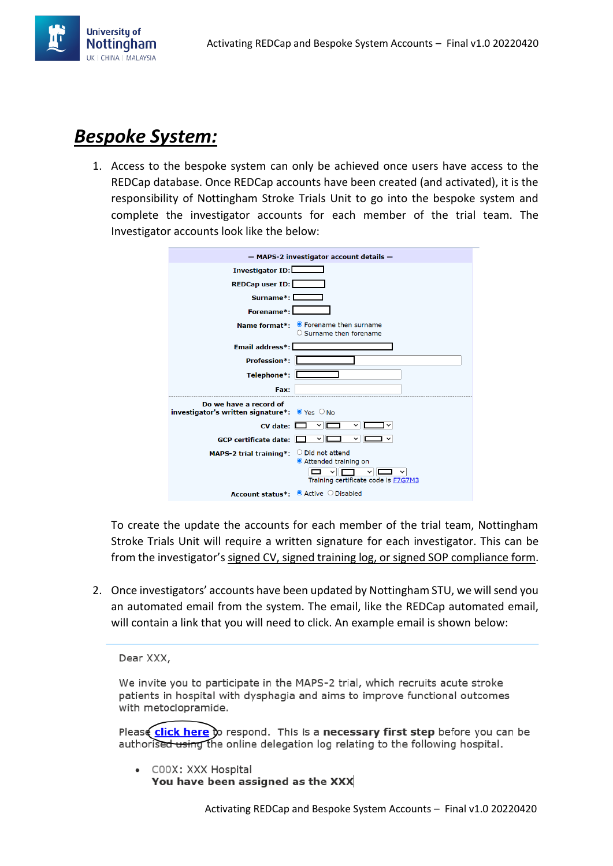

# *Bespoke System:*

1. Access to the bespoke system can only be achieved once users have access to the REDCap database. Once REDCap accounts have been created (and activated), it is the responsibility of Nottingham Stroke Trials Unit to go into the bespoke system and complete the investigator accounts for each member of the trial team. The Investigator accounts look like the below:



To create the update the accounts for each member of the trial team, Nottingham Stroke Trials Unit will require a written signature for each investigator. This can be from the investigator's signed CV, signed training log, or signed SOP compliance form.

2. Once investigators' accounts have been updated by Nottingham STU, we will send you an automated email from the system. The email, like the REDCap automated email, will contain a link that you will need to click. An example email is shown below:

Dear XXX,

We invite you to participate in the MAPS-2 trial, which recruits acute stroke patients in hospital with dysphagia and aims to improve functional outcomes with metoclopramide.

Please click here to respond. This is a necessary first step before you can be authorised using the online delegation log relating to the following hospital.

• COOX: XXX Hospital You have been assigned as the XXX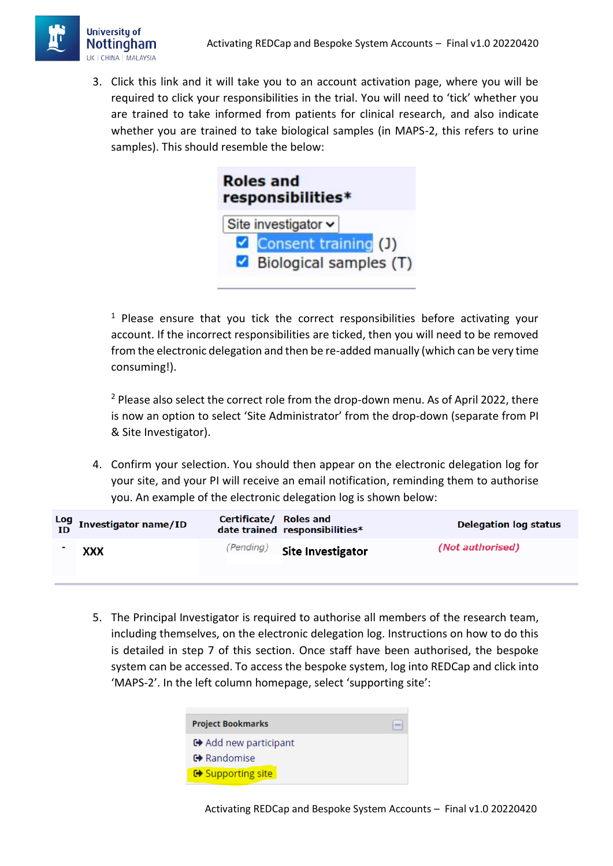

3. Click this link and it will take you to an account activation page, where you will be required to click your responsibilities in the trial. You will need to 'tick' whether you are trained to take informed from patients for clinical research, and also indicate whether you are trained to take biological samples (in MAPS-2, this refers to urine samples). This should resemble the below:



 $1$  Please ensure that you tick the correct responsibilities before activating your account. If the incorrect responsibilities are ticked, then you will need to be removed from the electronic delegation and then be re-added manually (which can be very time consuming!).

<sup>2</sup> Please also select the correct role from the drop-down menu. As of April 2022, there is now an option to select 'Site Administrator' from the drop-down (separate from PI & Site Investigator).

4. Confirm your selection. You should then appear on the electronic delegation log for your site, and your PI will receive an email notification, reminding them to authorise you. An example of the electronic delegation log is shown below:

| $\frac{\text{Log}}{\text{ID}}$ Investigator name/ID | Certificate/ Roles and | date trained responsibilities* | <b>Delegation log status</b> |
|-----------------------------------------------------|------------------------|--------------------------------|------------------------------|
| XXX                                                 | (Pending)              | <b>Site Investigator</b>       | (Not authorised)             |

5. The Principal Investigator is required to authorise all members of the research team, including themselves, on the electronic delegation log. Instructions on how to do this is detailed in step 7 of this section. Once staff have been authorised, the bespoke system can be accessed. To access the bespoke system, log into REDCap and click into 'MAPS-2'. In the left column homepage, select 'supporting site':

| <b>Project Bookmarks</b>     |  |
|------------------------------|--|
| <b>□</b> Add new participant |  |
| <b>□</b> Randomise           |  |
| <b>□ Supporting site</b>     |  |

Activating REDCap and Bespoke System Accounts – Final v1.0 20220420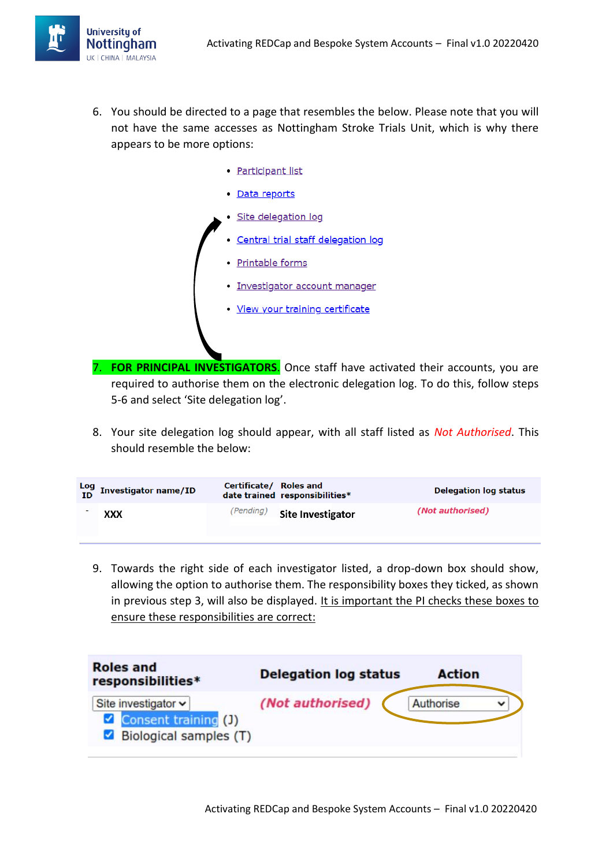

- 6. You should be directed to a page that resembles the below. Please note that you will not have the same accesses as Nottingham Stroke Trials Unit, which is why there appears to be more options:
	- · Participant list
	- · Data reports
	- · Site delegation log
	- **Central trial staff delegation log**
	- · Printable forms
	- · Investigator account manager
	- View your training certificate
- 7. **FOR PRINCIPAL INVESTIGATORS**. Once staff have activated their accounts, you are required to authorise them on the electronic delegation log. To do this, follow steps 5-6 and select 'Site delegation log'.
- 8. Your site delegation log should appear, with all staff listed as *Not Authorised*. This should resemble the below:

| $\frac{\textsf{Log}}{\textsf{ID}}$ Investigator name/ID | Certificate/ Roles and | date trained responsibilities* | <b>Delegation log status</b> |
|---------------------------------------------------------|------------------------|--------------------------------|------------------------------|
| XXX                                                     | (Pending)              | <b>Site Investigator</b>       | (Not authorised)             |

9. Towards the right side of each investigator listed, a drop-down box should show, allowing the option to authorise them. The responsibility boxes they ticked, as shown in previous step 3, will also be displayed. It is important the PI checks these boxes to ensure these responsibilities are correct:

| <b>Roles and</b><br>responsibilities*                                      | <b>Delegation log status</b> | <b>Action</b> |
|----------------------------------------------------------------------------|------------------------------|---------------|
| Site investigator $\sim$<br>Consent training (J)<br>Biological samples (T) | (Not authorised)             | Authorise     |